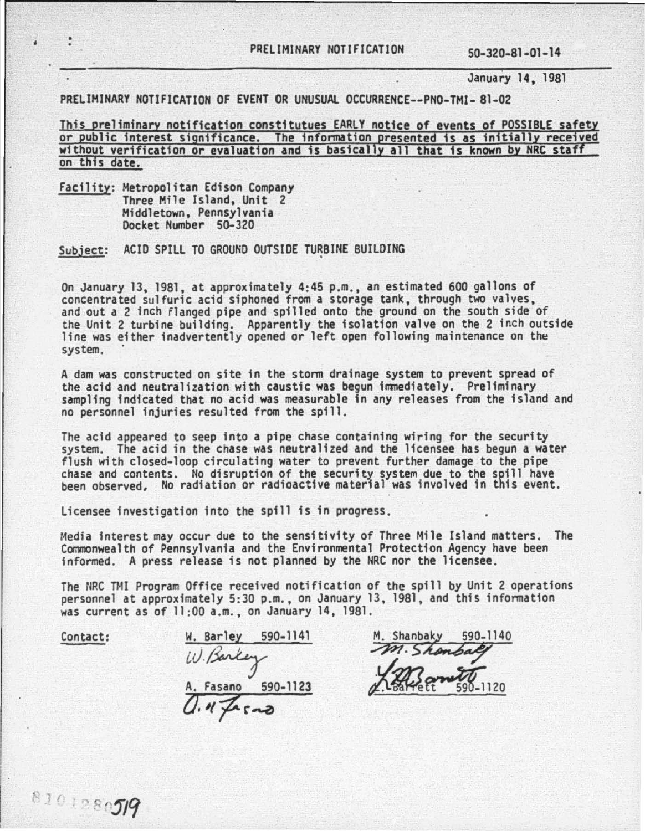January 14, 1981

PRELIMINARY NOTIFICATION OF EVENT OR UNUSUAL OCCURRENCE--PNO-TMI- 81-02

This preliminary notification constitutues EARLY notice of events of POSSIBLE safety or public interest significance. The information presented is as initially received without verification or evaluation and is basically all that is known by NRC staff on this date.

Facility: Metropolitan Edison Company Three Mile Island, Unit 2 Middletown, Pennsylvania Oocket Number 50-320

Subject: ACID SPILL TO GROUND OUTSIDE TURBINE BUILDING

On January 13, 1981, at approximately 4:45p.m., an estimated 600 gallons of concentrated sulfuric acid siphoned from a storage tank, through two valves, and out a 2 inch flanged pipe and spilled onto the ground on the south side of the Unit 2 turbine building. Apparently the isolation valve on the 2 inch outside line was either inadvertently opened or left open following maintenance on the system.

A dam was constructed on site in the storm drainage system to prevent spread of the acid and neutralization with caustic was begun immediately. Preliminary sampling indicated that no acid was measurable in any releases from the island and no personnel injuries resulted from the spill.

The acid appeared to seep into a pipe chase containing wiring for the security system. The acid in the chase was neutralized and the licensee has begun a water<br>flush with closed-loop circulating water to prevent further damage to the pipe flush with closed-loop circulating water to prevent further damage to the pipe chase and contents. No disruption of the security system due to the spill have been observed. No radiation or radioactive material was involved in this event.

licensee investigation into the spill is in progress.

Media interest may occur due to the sensitivity of Three Mile Island matters. The Commonwealth of Pennsylvania and the Environmental Protection Agency have been informed. A press release is not planned by the NRC nor the licensee.

The NRC TMI Program Office received notification of the spill by Unit 2 operations personnel at approximately 5:30 p.m., on January 13, 1981, and this information was current as of 11 :00 a.m., on January 14, 1981 .

Contact:

W. Barley 590-1141 <u>W. Barley 590-1141</u><br>*W. Barley* A. Fasano 590-1123 *O.* 11 *-p:.* r -a

590-1140 1. Shanbaky M. Shank  $.1120$